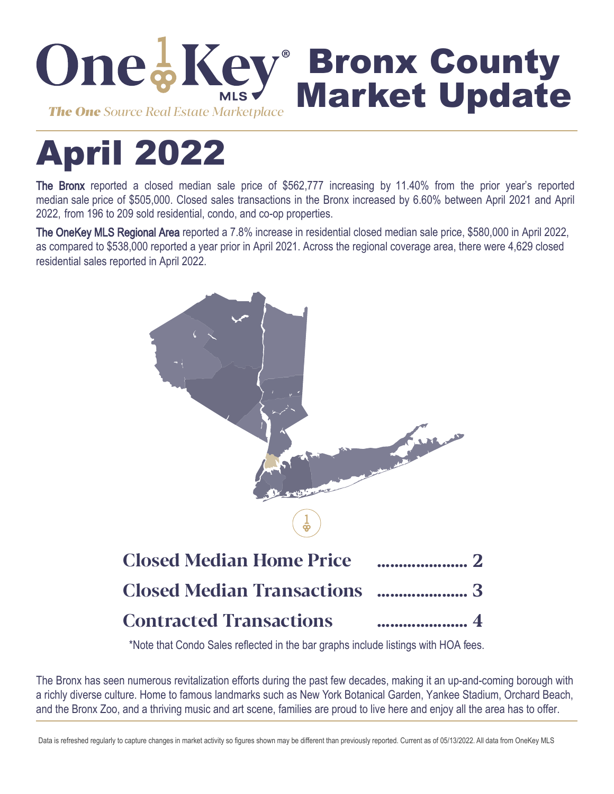

# April 2022

The Bronx reported a closed median sale price of \$562,777 increasing by 11.40% from the prior year's reported median sale price of \$505,000. Closed sales transactions in the Bronx increased by 6.60% between April 2021 and April 2022, from 196 to 209 sold residential, condo, and co-op properties.

The OneKey MLS Regional Area reported a 7.8% increase in residential closed median sale price, \$580,000 in April 2022, as compared to \$538,000 reported a year prior in April 2021. Across the regional coverage area, there were 4,629 closed residential sales reported in April 2022.



\*Note that Condo Sales reflected in the bar graphs include listings with HOA fees.

The Bronx has seen numerous revitalization efforts during the past few decades, making it an up-and-coming borough with a richly diverse culture. Home to famous landmarks such as New York Botanical Garden, Yankee Stadium, Orchard Beach, and the Bronx Zoo, and a thriving music and art scene, families are proud to live here and enjoy all the area has to offer.

Data is refreshed regularly to capture changes in market activity so figures shown may be different than previously reported. Current as of 05/13/2022. All data from OneKey MLS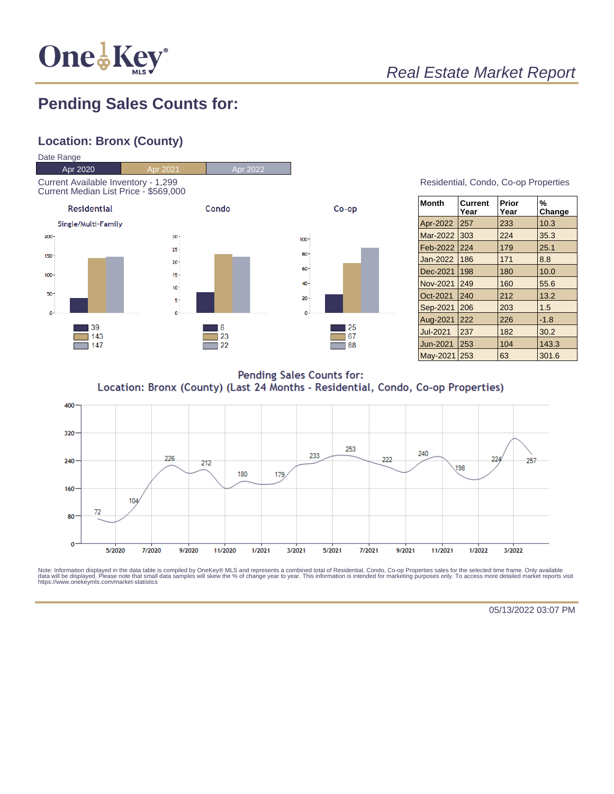

## Real Estate Market Report

## **Pending Sales Counts for:**

### **Location: Bronx (County)**



| Residential, Condo, Co-op Properties |  |  |
|--------------------------------------|--|--|
|                                      |  |  |

| <b>Month</b>    | <b>Current</b><br>Year | Prior<br>Year | %<br>Change |
|-----------------|------------------------|---------------|-------------|
| Apr-2022        | 257                    | 233           | 10.3        |
| Mar-2022        | 303                    | 224           | 35.3        |
| Feb-2022        | 224                    | 179           | 25.1        |
| Jan-2022        | 186                    | 171           | 8.8         |
| Dec-2021        | 198                    | 180           | 10.0        |
| Nov-2021        | 249                    | 160           | 55.6        |
| Oct-2021        | 240                    | 212           | 13.2        |
| Sep-2021        | 206                    | 203           | 1.5         |
| Aug-2021        | 222                    | 226           | $-1.8$      |
| <b>Jul-2021</b> | 237                    | 182           | 30.2        |
| Jun-2021        | 253                    | 104           | 143.3       |
| May-2021        | 253                    | 63            | 301.6       |

**Pending Sales Counts for:** Location: Bronx (County) (Last 24 Months - Residential, Condo, Co-op Properties)



Note: Information displayed in the data table is compiled by OneKey® MLS and represents a combined total of Residential, Condo, Co-op Properties sales for the selected time frame. Only available<br>data will be displayed. Pl

05/13/2022 03:07 PM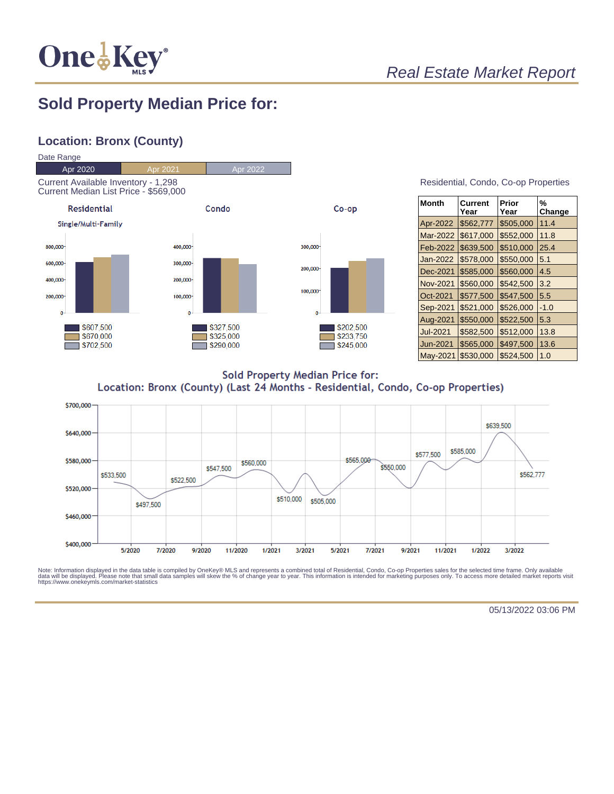

## Real Estate Market Report

## **Sold Property Median Price for:**

### **Location: Bronx (County)**



| Month           | Current<br>Year | Prior<br>Year | %<br>Change |
|-----------------|-----------------|---------------|-------------|
| Apr-2022        | \$562,777       | \$505,000     | 11.4        |
| Mar-2022        | \$617,000       | \$552,000     | 11.8        |
| Feb-2022        | \$639,500       | \$510,000     | 25.4        |
| <b>Jan-2022</b> | \$578,000       | \$550,000     | 5.1         |
| Dec-2021        | \$585,000       | \$560,000     | 4.5         |
| Nov-2021        | \$560,000       | \$542,500     | 3.2         |
| Oct-2021        | \$577,500       | \$547,500     | 5.5         |
| Sep-2021        | \$521,000       | \$526,000     | $-1.0$      |
| Aug-2021        | \$550,000       | \$522,500     | 5.3         |
| <b>Jul-2021</b> | \$582,500       | \$512,000     | 13.8        |
| Jun-2021        | \$565,000       | \$497.500     | 13.6        |
| May-2021        | \$530.000       | \$524.500     | 1.0         |

**Sold Property Median Price for:** Location: Bronx (County) (Last 24 Months - Residential, Condo, Co-op Properties)



Note: Information displayed in the data table is compiled by OneKey® MLS and represents a combined total of Residential, Condo, Co-op Properties sales for the selected time frame. Only available<br>data will be displayed. Pl

05/13/2022 03:06 PM